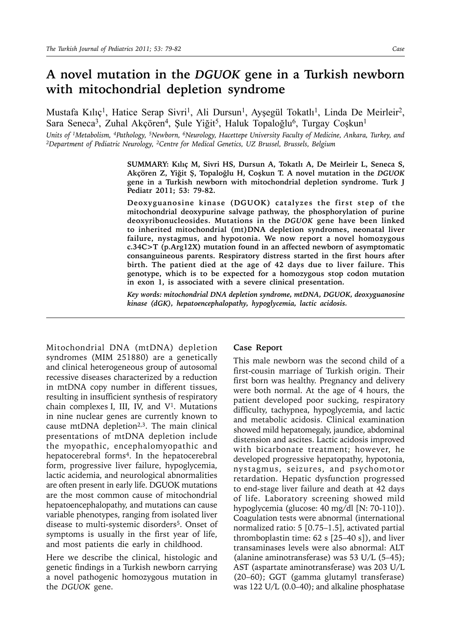## **A novel mutation in the** *DGUOK* **gene in a Turkish newborn with mitochondrial depletion syndrome**

Mustafa Kılıç<sup>ı</sup>, Hatice Serap Sivri<sup>1</sup>, Ali Dursun<sup>1</sup>, Ayşegül Tokatlı<sup>1</sup>, Linda De Meirleir<sup>2</sup>, Sara Seneca<sup>3</sup>, Zuhal Akçören<sup>4</sup>, Şule Yiğit<sup>5</sup>, Haluk Topaloğlu<sup>6</sup>, Turgay Coşkun<sup>1</sup>

*Units of 1Metabolism, 4Pathology, 5Newborn, 6Neurology, Hacettepe University Faculty of Medicine, Ankara, Turkey, and 2Department of Pediatric Neurology, 2Centre for Medical Genetics, UZ Brussel, Brussels, Belgium*

**SUMMARY: Kılıç M, Sivri HS, Dursun A, Tokatlı A, De Meirleir L, Seneca S, Akçören Z, Yiğit Ş, Topaloğlu H, Coşkun T. A novel mutation in the** *DGUOK*  **gene in a Turkish newborn with mitochondrial depletion syndrome. Turk J Pediatr 2011; 53: 79-82.**

**Deoxyguanosine kinase (DGUOK) catalyzes the first step of the mitochondrial deoxypurine salvage pathway, the phosphorylation of purine deoxyribonucleosides. Mutations in the** *DGUOK* **gene have been linked to inherited mitochondrial (mt)DNA depletion syndromes, neonatal liver failure, nystagmus, and hypotonia. We now report a novel homozygous c.34C>T (p.Arg12X) mutation found in an affected newborn of asymptomatic consanguineous parents. Respiratory distress started in the first hours after birth. The patient died at the age of 42 days due to liver failure. This genotype, which is to be expected for a homozygous stop codon mutation in exon 1, is associated with a severe clinical presentation.** 

*Key words: mitochondrial DNA depletion syndrome, mtDNA, DGUOK, deoxyguanosine kinase (dGK), hepatoencephalopathy, hypoglycemia, lactic acidosis.* 

Mitochondrial DNA (mtDNA) depletion syndromes (MIM 251880) are a genetically and clinical heterogeneous group of autosomal recessive diseases characterized by a reduction in mtDNA copy number in different tissues, resulting in insufficient synthesis of respiratory chain complexes I, III, IV, and  $V^1$ . Mutations in nine nuclear genes are currently known to cause mtDNA depletion<sup>2,3</sup>. The main clinical presentations of mtDNA depletion include the myopathic, encephalomyopathic and hepatocerebral forms<sup>4</sup>. In the hepatocerebral form, progressive liver failure, hypoglycemia, lactic acidemia, and neurological abnormalities are often present in early life. DGUOK mutations are the most common cause of mitochondrial hepatoencephalopathy, and mutations can cause variable phenotypes, ranging from isolated liver disease to multi-systemic disorders<sup>5</sup>. Onset of symptoms is usually in the first year of life, and most patients die early in childhood.

Here we describe the clinical, histologic and genetic findings in a Turkish newborn carrying a novel pathogenic homozygous mutation in the *DGUOK* gene.

## **Case Report**

This male newborn was the second child of a first-cousin marriage of Turkish origin. Their first born was healthy. Pregnancy and delivery were both normal. At the age of 4 hours, the patient developed poor sucking, respiratory difficulty, tachypnea, hypoglycemia, and lactic and metabolic acidosis. Clinical examination showed mild hepatomegaly, jaundice, abdominal distension and ascites. Lactic acidosis improved with bicarbonate treatment; however, he developed progressive hepatopathy, hypotonia, nystagmus, seizures, and psychomotor retardation. Hepatic dysfunction progressed to end-stage liver failure and death at 42 days of life. Laboratory screening showed mild hypoglycemia (glucose: 40 mg/dl [N: 70-110]). Coagulation tests were abnormal (international normalized ratio: 5 [0.75–1.5], activated partial thromboplastin time: 62 s [25–40 s]), and liver transaminases levels were also abnormal: ALT (alanine aminotransferase) was 53 U/L (5–45); AST (aspartate aminotransferase) was 203 U/L (20–60); GGT (gamma glutamyl transferase) was 122 U/L (0.0–40); and alkaline phosphatase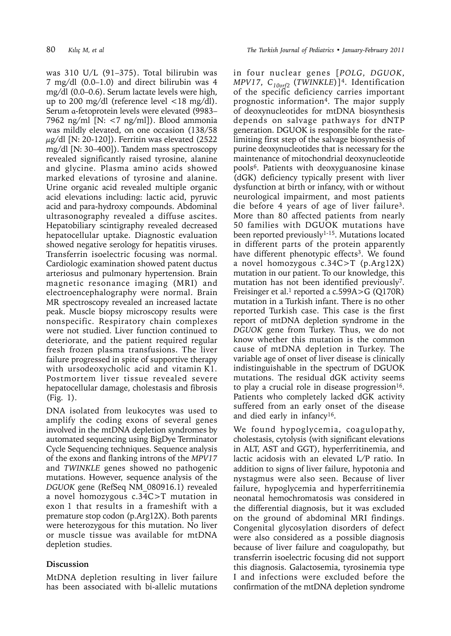was 310 U/L (91–375). Total bilirubin was 7 mg/dl (0.0–1.0) and direct bilirubin was 4 mg/dl (0.0–0.6). Serum lactate levels were high, up to 200 mg/dl (reference level  $\langle 18 \text{ mg/dl} \rangle$ . Serum α-fetoprotein levels were elevated (9983– 7962 ng/ml [N: <7 ng/ml]). Blood ammonia was mildly elevated, on one occasion (138/58  $\mu$ g/dl [N: 20-120]). Ferritin was elevated (2522 mg/dl [N: 30–400]). Tandem mass spectroscopy revealed significantly raised tyrosine, alanine and glycine. Plasma amino acids showed marked elevations of tyrosine and alanine. Urine organic acid revealed multiple organic acid elevations including: lactic acid, pyruvic acid and para-hydroxy compounds. Abdominal ultrasonography revealed a diffuse ascites. Hepatobiliary scintigraphy revealed decreased hepatocellular uptake. Diagnostic evaluation showed negative serology for hepatitis viruses. Transferrin isoelectric focusing was normal. Cardiologic examination showed patent ductus arteriosus and pulmonary hypertension. Brain magnetic resonance imaging (MRI) and electroencephalography were normal. Brain MR spectroscopy revealed an increased lactate peak. Muscle biopsy microscopy results were nonspecific. Respiratory chain complexes were not studied. Liver function continued to deteriorate, and the patient required regular fresh frozen plasma transfusions. The liver failure progressed in spite of supportive therapy with ursodeoxycholic acid and vitamin K1. Postmortem liver tissue revealed severe hepatocellular damage, cholestasis and fibrosis (Fig. 1).

DNA isolated from leukocytes was used to amplify the coding exons of several genes involved in the mtDNA depletion syndromes by automated sequencing using BigDye Terminator Cycle Sequencing techniques. Sequence analysis of the exons and flanking introns of the *MPV17* and *TWINKLE* genes showed no pathogenic mutations. However, sequence analysis of the *DGUOK* gene (RefSeq NM\_080916.1) revealed a novel homozygous c.34C>T mutation in exon 1 that results in a frameshift with a premature stop codon (p.Arg12X). Both parents were heterozygous for this mutation. No liver or muscle tissue was available for mtDNA depletion studies.

## **Discussion**

MtDNA depletion resulting in liver failure has been associated with bi-allelic mutations

in four nuclear genes [*POLG*, *DGUOK*, *MPV17*, *C10orf2* (*TWINKLE*)]4. Identification of the specific deficiency carries important prognostic information4. The major supply of deoxynucleotides for mtDNA biosynthesis depends on salvage pathways for dNTP generation. DGUOK is responsible for the ratelimiting first step of the salvage biosynthesis of purine deoxynucleotides that is necessary for the maintenance of mitochondrial deoxynucleotide pools6. Patients with deoxyguanosine kinase (dGK) deficiency typically present with liver dysfunction at birth or infancy, with or without neurological impairment, and most patients die before 4 years of age of liver failure3. More than 80 affected patients from nearly 50 families with DGUOK mutations have been reported previously<sup>1-15</sup>. Mutations located in different parts of the protein apparently have different phenotypic effects<sup>3</sup>. We found a novel homozygous c.34C>T (p.Arg12X) mutation in our patient. To our knowledge, this mutation has not been identified previously7. Freisinger et al.<sup>1</sup> reported a c.599A  $>$ G (Q170R) mutation in a Turkish infant. There is no other reported Turkish case. This case is the first report of mtDNA depletion syndrome in the *DGUOK* gene from Turkey. Thus, we do not know whether this mutation is the common cause of mtDNA depletion in Turkey. The variable age of onset of liver disease is clinically indistinguishable in the spectrum of DGUOK mutations. The residual dGK activity seems to play a crucial role in disease progression  $16$ . Patients who completely lacked dGK activity suffered from an early onset of the disease and died early in infancy16.

We found hypoglycemia, coagulopathy, cholestasis, cytolysis (with significant elevations in ALT, AST and GGT), hyperferritinemia, and lactic acidosis with an elevated L/P ratio. In addition to signs of liver failure, hypotonia and nystagmus were also seen. Because of liver failure, hypoglycemia and hyperferritinemia neonatal hemochromatosis was considered in the differential diagnosis, but it was excluded on the ground of abdominal MRI findings. Congenital glycosylation disorders of defect were also considered as a possible diagnosis because of liver failure and coagulopathy, but transferrin isoelectric focusing did not support this diagnosis. Galactosemia, tyrosinemia type I and infections were excluded before the confirmation of the mtDNA depletion syndrome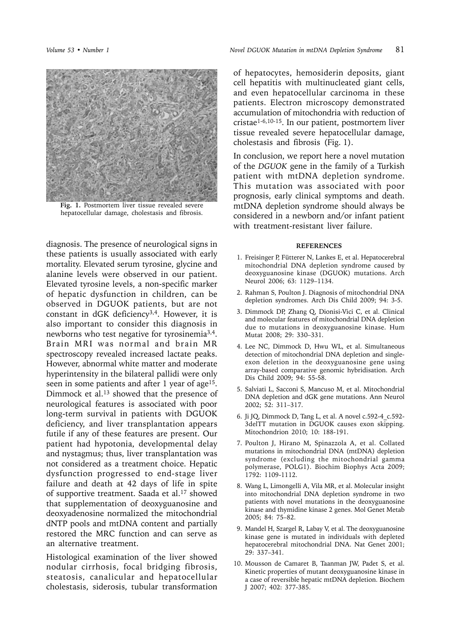

**Fig. 1.** Postmortem liver tissue revealed severe hepatocellular damage, cholestasis and fibrosis.

diagnosis. The presence of neurological signs in these patients is usually associated with early mortality. Elevated serum tyrosine, glycine and alanine levels were observed in our patient. Elevated tyrosine levels, a non-specific marker of hepatic dysfunction in children, can be observed in DGUOK patients, but are not constant in dGK deficiency<sup>3,4</sup>. However, it is also important to consider this diagnosis in newborns who test negative for tyrosinemia<sup>3,4</sup>. Brain MRI was normal and brain MR spectroscopy revealed increased lactate peaks. However, abnormal white matter and moderate hyperintensity in the bilateral pallidi were only seen in some patients and after 1 year of age<sup>15</sup>. Dimmock et al.<sup>13</sup> showed that the presence of neurological features is associated with poor long-term survival in patients with DGUOK deficiency, and liver transplantation appears futile if any of these features are present. Our patient had hypotonia, developmental delay and nystagmus; thus, liver transplantation was not considered as a treatment choice. Hepatic dysfunction progressed to end-stage liver failure and death at 42 days of life in spite of supportive treatment. Saada et al.<sup>17</sup> showed that supplementation of deoxyguanosine and deoxyadenosine normalized the mitochondrial dNTP pools and mtDNA content and partially restored the MRC function and can serve as an alternative treatment.

Histological examination of the liver showed nodular cirrhosis, focal bridging fibrosis, steatosis, canalicular and hepatocellular cholestasis, siderosis, tubular transformation

of hepatocytes, hemosiderin deposits, giant cell hepatitis with multinucleated giant cells, and even hepatocellular carcinoma in these patients. Electron microscopy demonstrated accumulation of mitochondria with reduction of cristae1-6,10-15. In our patient, postmortem liver tissue revealed severe hepatocellular damage, cholestasis and fibrosis (Fig. 1).

In conclusion, we report here a novel mutation of the *DGUOK* gene in the family of a Turkish patient with mtDNA depletion syndrome. This mutation was associated with poor prognosis, early clinical symptoms and death. mtDNA depletion syndrome should always be considered in a newborn and/or infant patient with treatment-resistant liver failure.

## **REFERENCES**

- 1. Freisinger P, Fütterer N, Lankes E, et al. Hepatocerebral mitochondrial DNA depletion syndrome caused by deoxyguanosine kinase (DGUOK) mutations. Arch Neurol 2006; 63: 1129–1134.
- 2. Rahman S, Poulton J. Diagnosis of mitochondrial DNA depletion syndromes. Arch Dis Child 2009; 94: 3-5.
- 3. Dimmock DP, Zhang Q, Dionisi-Vici C, et al. Clinical and molecular features of mitochondrial DNA depletion due to mutations in deoxyguanosine kinase. Hum Mutat 2008; 29: 330–331.
- 4. Lee NC, Dimmock D, Hwu WL, et al. Simultaneous detection of mitochondrial DNA depletion and singleexon deletion in the deoxyguanosine gene using array-based comparative genomic hybridisation. Arch Dis Child 2009; 94: 55-58.
- 5. Salviati L, Sacconi S, Mancuso M, et al. Mitochondrial DNA depletion and dGK gene mutations. Ann Neurol 2002; 52: 311–317.
- 6. Ji JQ, Dimmock D, Tang L, et al. A novel c.592-4\_c.592- 3delTT mutation in DGUOK causes exon skipping. Mitochondrion 2010; 10: 188-191.
- 7. Poulton J, Hirano M, Spinazzola A, et al. Collated mutations in mitochondrial DNA (mtDNA) depletion syndrome (excluding the mitochondrial gamma polymerase, POLG1). Biochim Biophys Acta 2009; 1792: 1109-1112.
- 8. Wang L, Limongelli A, Vila MR, et al. Molecular insight into mitochondrial DNA depletion syndrome in two patients with novel mutations in the deoxyguanosine kinase and thymidine kinase 2 genes. Mol Genet Metab 2005; 84: 75–82.
- 9. Mandel H, Szargel R, Labay V, et al. The deoxyguanosine kinase gene is mutated in individuals with depleted hepatocerebral mitochondrial DNA. Nat Genet 2001; 29: 337–341.
- 10. Mousson de Camaret B, Taanman JW, Padet S, et al. Kinetic properties of mutant deoxyguanosine kinase in a case of reversible hepatic mtDNA depletion. Biochem J 2007; 402: 377-385.